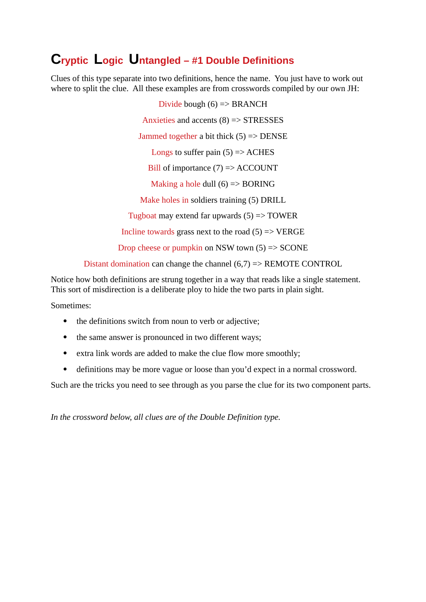# **Cryptic Logic Untangled – #1 Double Definitions**

Clues of this type separate into two definitions, hence the name. You just have to work out where to split the clue. All these examples are from crosswords compiled by our own JH:

> Divide bough  $(6)$  => BRANCH Anxieties and accents (8) => STRESSES Jammed together a bit thick (5) => DENSE Longs to suffer pain  $(5)$  => ACHES Bill of importance (7) => ACCOUNT Making a hole dull  $(6)$  => BORING Make holes in soldiers training (5) DRILL Tugboat may extend far upwards  $(5)$  => TOWER Incline towards grass next to the road  $(5)$  => VERGE Drop cheese or pumpkin on NSW town (5) => SCONE

Distant domination can change the channel  $(6,7)$  => REMOTE CONTROL

Notice how both definitions are strung together in a way that reads like a single statement. This sort of misdirection is a deliberate ploy to hide the two parts in plain sight.

Sometimes:

- the definitions switch from noun to verb or adjective;
- the same answer is pronounced in two different ways;
- extra link words are added to make the clue flow more smoothly;
- definitions may be more vague or loose than you'd expect in a normal crossword.

Such are the tricks you need to see through as you parse the clue for its two component parts.

*In the crossword below, all clues are of the Double Definition type.*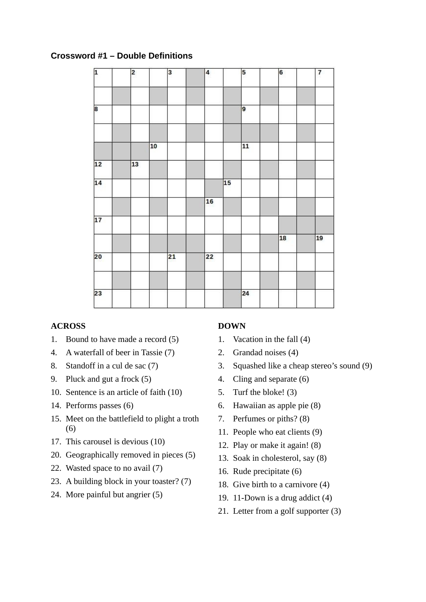## **Crossword #1 – Double Definitions**

| $\overline{2}$ |    | 3  | 4  |    | 5  | 6               | 7               |
|----------------|----|----|----|----|----|-----------------|-----------------|
|                |    |    |    |    | 9  |                 |                 |
|                | 10 |    |    |    | 11 |                 |                 |
| 13             |    |    |    |    |    |                 |                 |
|                |    |    |    | 15 |    |                 |                 |
|                |    |    | 16 |    |    |                 |                 |
|                |    |    |    |    |    |                 |                 |
|                |    |    |    |    |    | $\overline{18}$ | $\overline{19}$ |
|                |    | 21 | 22 |    |    |                 |                 |
|                |    |    |    |    | 24 |                 |                 |
|                |    |    |    |    |    |                 |                 |

#### **ACROSS**

- 1. Bound to have made a record (5)
- 4. A waterfall of beer in Tassie (7)
- 8. Standoff in a cul de sac (7)
- 9. Pluck and gut a frock (5)
- 10. Sentence is an article of faith (10)
- 14. Performs passes (6)
- 15. Meet on the battlefield to plight a troth (6)
- 17. This carousel is devious (10)
- 20. Geographically removed in pieces (5)
- 22. Wasted space to no avail (7)
- 23. A building block in your toaster? (7)
- 24. More painful but angrier (5)

#### **DOWN**

- 1. Vacation in the fall (4)
- 2. Grandad noises (4)
- 3. Squashed like a cheap stereo's sound (9)
- 4. Cling and separate (6)
- 5. Turf the bloke! (3)
- 6. Hawaiian as apple pie (8)
- 7. Perfumes or piths? (8)
- 11. People who eat clients (9)
- 12. Play or make it again! (8)
- 13. Soak in cholesterol, say (8)
- 16. Rude precipitate (6)
- 18. Give birth to a carnivore (4)
- 19. 11-Down is a drug addict (4)
- 21. Letter from a golf supporter (3)